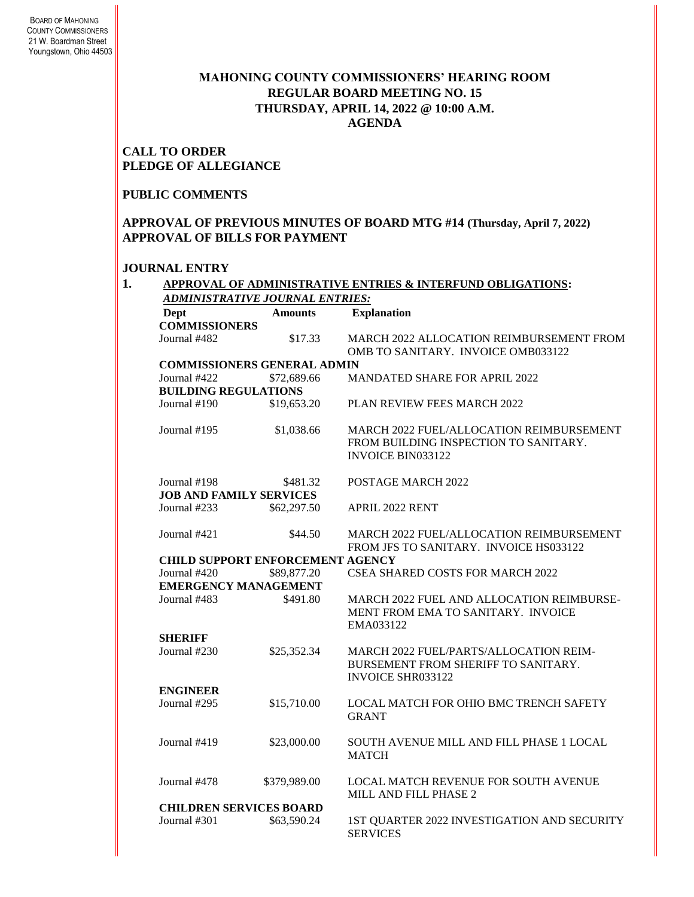### **MAHONING COUNTY COMMISSIONERS' HEARING ROOM REGULAR BOARD MEETING NO. 15 THURSDAY***,* **APRIL 14, 2022 @ 10:00 A.M. AGENDA**

**CALL TO ORDER PLEDGE OF ALLEGIANCE**

# **PUBLIC COMMENTS**

**APPROVAL OF PREVIOUS MINUTES OF BOARD MTG #14 (Thursday, April 7, 2022) APPROVAL OF BILLS FOR PAYMENT**

### **JOURNAL ENTRY**

| ADMINISTRATIVE JOURNAL ENTRIES: |                                         |                                                                                                                      |  |  |  |
|---------------------------------|-----------------------------------------|----------------------------------------------------------------------------------------------------------------------|--|--|--|
| <b>Dept</b>                     | <b>Amounts</b>                          | <b>Explanation</b>                                                                                                   |  |  |  |
| <b>COMMISSIONERS</b>            |                                         |                                                                                                                      |  |  |  |
| Journal #482                    | \$17.33                                 | MARCH 2022 ALLOCATION REIMBURSEMENT FROM<br>OMB TO SANITARY. INVOICE OMB033122                                       |  |  |  |
|                                 | <b>COMMISSIONERS GENERAL ADMIN</b>      |                                                                                                                      |  |  |  |
| Journal #422                    | \$72,689.66                             | <b>MANDATED SHARE FOR APRIL 2022</b>                                                                                 |  |  |  |
| <b>BUILDING REGULATIONS</b>     |                                         |                                                                                                                      |  |  |  |
| Journal #190                    | \$19,653.20                             | PLAN REVIEW FEES MARCH 2022                                                                                          |  |  |  |
| Journal #195                    | \$1,038.66                              | <b>MARCH 2022 FUEL/ALLOCATION REIMBURSEMENT</b><br>FROM BUILDING INSPECTION TO SANITARY.<br><b>INVOICE BIN033122</b> |  |  |  |
| Journal #198                    | \$481.32                                | POSTAGE MARCH 2022                                                                                                   |  |  |  |
| <b>JOB AND FAMILY SERVICES</b>  |                                         |                                                                                                                      |  |  |  |
| Journal #233                    | \$62,297.50                             | APRIL 2022 RENT                                                                                                      |  |  |  |
| Journal #421                    | \$44.50                                 | MARCH 2022 FUEL/ALLOCATION REIMBURSEMENT<br>FROM JFS TO SANITARY. INVOICE HS033122                                   |  |  |  |
|                                 | <b>CHILD SUPPORT ENFORCEMENT AGENCY</b> |                                                                                                                      |  |  |  |
| Journal #420                    | \$89,877.20                             | <b>CSEA SHARED COSTS FOR MARCH 2022</b>                                                                              |  |  |  |
|                                 | <b>EMERGENCY MANAGEMENT</b>             |                                                                                                                      |  |  |  |
| Journal #483                    | \$491.80                                | MARCH 2022 FUEL AND ALLOCATION REIMBURSE-<br>MENT FROM EMA TO SANITARY. INVOICE<br>EMA033122                         |  |  |  |
| <b>SHERIFF</b>                  |                                         |                                                                                                                      |  |  |  |
| Journal #230                    | \$25,352.34                             | <b>MARCH 2022 FUEL/PARTS/ALLOCATION REIM-</b><br>BURSEMENT FROM SHERIFF TO SANITARY.<br><b>INVOICE SHR033122</b>     |  |  |  |
| <b>ENGINEER</b>                 |                                         |                                                                                                                      |  |  |  |
| Journal #295                    | \$15,710.00                             | LOCAL MATCH FOR OHIO BMC TRENCH SAFETY<br><b>GRANT</b>                                                               |  |  |  |
| Journal #419                    | \$23,000.00                             | SOUTH AVENUE MILL AND FILL PHASE 1 LOCAL<br><b>MATCH</b>                                                             |  |  |  |
| Journal #478                    | \$379,989.00                            | LOCAL MATCH REVENUE FOR SOUTH AVENUE<br>MILL AND FILL PHASE 2                                                        |  |  |  |
|                                 | <b>CHILDREN SERVICES BOARD</b>          |                                                                                                                      |  |  |  |
| Journal #301                    | \$63,590.24                             | 1ST QUARTER 2022 INVESTIGATION AND SECURITY<br><b>SERVICES</b>                                                       |  |  |  |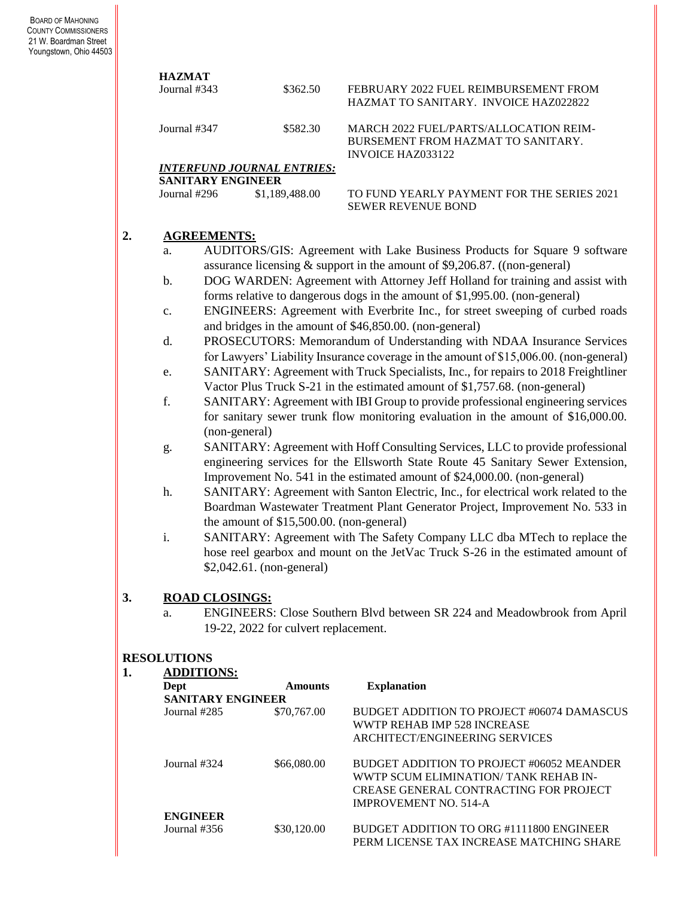|    | <b>HAZMAT</b>                            |                                                                                                                                                                 |                                                                                                          |  |  |  |
|----|------------------------------------------|-----------------------------------------------------------------------------------------------------------------------------------------------------------------|----------------------------------------------------------------------------------------------------------|--|--|--|
|    | Journal #343                             | \$362.50                                                                                                                                                        | FEBRUARY 2022 FUEL REIMBURSEMENT FROM<br>HAZMAT TO SANITARY. INVOICE HAZ022822                           |  |  |  |
|    | Journal #347                             | \$582.30                                                                                                                                                        | MARCH 2022 FUEL/PARTS/ALLOCATION REIM-<br>BURSEMENT FROM HAZMAT TO SANITARY.<br><b>INVOICE HAZ033122</b> |  |  |  |
|    |                                          | <b>INTERFUND JOURNAL ENTRIES:</b>                                                                                                                               |                                                                                                          |  |  |  |
|    | <b>SANITARY ENGINEER</b>                 |                                                                                                                                                                 |                                                                                                          |  |  |  |
|    | Journal #296                             | \$1,189,488.00                                                                                                                                                  | TO FUND YEARLY PAYMENT FOR THE SERIES 2021<br><b>SEWER REVENUE BOND</b>                                  |  |  |  |
| 2. | <b>AGREEMENTS:</b>                       |                                                                                                                                                                 |                                                                                                          |  |  |  |
|    | a.                                       |                                                                                                                                                                 | AUDITORS/GIS: Agreement with Lake Business Products for Square 9 software                                |  |  |  |
|    |                                          |                                                                                                                                                                 | assurance licensing $&$ support in the amount of \$9,206.87. ((non-general)                              |  |  |  |
|    | b.                                       |                                                                                                                                                                 | DOG WARDEN: Agreement with Attorney Jeff Holland for training and assist with                            |  |  |  |
|    |                                          |                                                                                                                                                                 | forms relative to dangerous dogs in the amount of \$1,995.00. (non-general)                              |  |  |  |
|    | $\mathbf{C}$ .                           |                                                                                                                                                                 | ENGINEERS: Agreement with Everbrite Inc., for street sweeping of curbed roads                            |  |  |  |
|    |                                          |                                                                                                                                                                 | and bridges in the amount of \$46,850.00. (non-general)                                                  |  |  |  |
|    | d.                                       |                                                                                                                                                                 | PROSECUTORS: Memorandum of Understanding with NDAA Insurance Services                                    |  |  |  |
|    |                                          |                                                                                                                                                                 | for Lawyers' Liability Insurance coverage in the amount of \$15,006.00. (non-general)                    |  |  |  |
|    | e.                                       |                                                                                                                                                                 | SANITARY: Agreement with Truck Specialists, Inc., for repairs to 2018 Freightliner                       |  |  |  |
|    |                                          |                                                                                                                                                                 | Vactor Plus Truck S-21 in the estimated amount of \$1,757.68. (non-general)                              |  |  |  |
|    | f.                                       | SANITARY: Agreement with IBI Group to provide professional engineering services                                                                                 |                                                                                                          |  |  |  |
|    |                                          | for sanitary sewer trunk flow monitoring evaluation in the amount of \$16,000.00.                                                                               |                                                                                                          |  |  |  |
|    |                                          | (non-general)                                                                                                                                                   |                                                                                                          |  |  |  |
| g. |                                          | SANITARY: Agreement with Hoff Consulting Services, LLC to provide professional                                                                                  |                                                                                                          |  |  |  |
|    |                                          | engineering services for the Ellsworth State Route 45 Sanitary Sewer Extension,                                                                                 |                                                                                                          |  |  |  |
|    | h.                                       | Improvement No. 541 in the estimated amount of \$24,000.00. (non-general)<br>SANITARY: Agreement with Santon Electric, Inc., for electrical work related to the |                                                                                                          |  |  |  |
|    |                                          | Boardman Wastewater Treatment Plant Generator Project, Improvement No. 533 in                                                                                   |                                                                                                          |  |  |  |
|    |                                          | the amount of \$15,500.00. (non-general)                                                                                                                        |                                                                                                          |  |  |  |
|    | i.                                       | SANITARY: Agreement with The Safety Company LLC dba MTech to replace the                                                                                        |                                                                                                          |  |  |  |
|    |                                          | hose reel gearbox and mount on the JetVac Truck S-26 in the estimated amount of                                                                                 |                                                                                                          |  |  |  |
|    |                                          | \$2,042.61. (non-general)                                                                                                                                       |                                                                                                          |  |  |  |
| 3. | <b>ROAD CLOSINGS:</b>                    |                                                                                                                                                                 |                                                                                                          |  |  |  |
|    | a.                                       | ENGINEERS: Close Southern Blvd between SR 224 and Meadowbrook from April                                                                                        |                                                                                                          |  |  |  |
|    |                                          | 19-22, 2022 for culvert replacement.                                                                                                                            |                                                                                                          |  |  |  |
|    | <b>RESOLUTIONS</b>                       |                                                                                                                                                                 |                                                                                                          |  |  |  |
| 1. | <b>ADDITIONS:</b>                        |                                                                                                                                                                 |                                                                                                          |  |  |  |
|    | Dept                                     | <b>Amounts</b>                                                                                                                                                  | <b>Explanation</b>                                                                                       |  |  |  |
|    | <b>SANITARY ENGINEER</b><br>Journal #285 | \$70,767.00                                                                                                                                                     | BUDGET ADDITION TO PROJECT #06074 DAMASCUS                                                               |  |  |  |
|    |                                          |                                                                                                                                                                 | WWTP REHAB IMP 528 INCREASE                                                                              |  |  |  |
|    |                                          |                                                                                                                                                                 | ARCHITECT/ENGINEERING SERVICES                                                                           |  |  |  |
|    |                                          |                                                                                                                                                                 |                                                                                                          |  |  |  |
|    | Journal #324                             | \$66,080.00                                                                                                                                                     | BUDGET ADDITION TO PROJECT #06052 MEANDER<br>WWTP SCUM ELIMINATION/ TANK REHAB IN-                       |  |  |  |
|    |                                          |                                                                                                                                                                 | CREASE GENERAL CONTRACTING FOR PROJECT                                                                   |  |  |  |

**ENGINEER**

\$30,120.00 BUDGET ADDITION TO ORG #1111800 ENGINEER PERM LICENSE TAX INCREASE MATCHING SHARE

IMPROVEMENT NO. 514-A